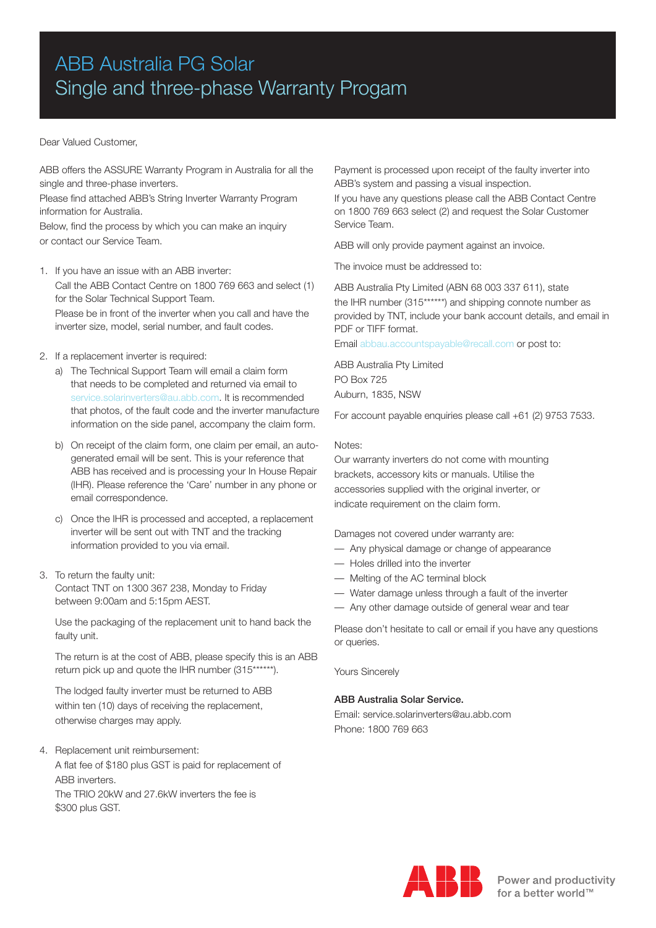# ABB Australia PG Solar Single and three-phase Warranty Progam

# Dear Valued Customer,

ABB offers the ASSURE Warranty Program in Australia for all the single and three-phase inverters.

Please find attached ABB's String Inverter Warranty Program information for Australia.

Below, find the process by which you can make an inquiry or contact our Service Team.

- 1. If you have an issue with an ABB inverter: Call the ABB Contact Centre on 1800 769 663 and select (1) for the Solar Technical Support Team. Please be in front of the inverter when you call and have the inverter size, model, serial number, and fault codes.
- 2. If a replacement inverter is required:
	- a) The Technical Support Team will email a claim form that needs to be completed and returned via email to service.solarinverters@au.abb.com. It is recommended that photos, of the fault code and the inverter manufacture information on the side panel, accompany the claim form.
	- b) On receipt of the claim form, one claim per email, an autogenerated email will be sent. This is your reference that ABB has received and is processing your In House Repair (IHR). Please reference the 'Care' number in any phone or email correspondence.
	- c) Once the IHR is processed and accepted, a replacement inverter will be sent out with TNT and the tracking information provided to you via email.
- 3. To return the faulty unit: Contact TNT on 1300 367 238, Monday to Friday between 9:00am and 5:15pm AEST.

Use the packaging of the replacement unit to hand back the faulty unit.

The return is at the cost of ABB, please specify this is an ABB return pick up and quote the IHR number (315\*\*\*\*\*\*).

The lodged faulty inverter must be returned to ABB within ten (10) days of receiving the replacement, otherwise charges may apply.

4. Replacement unit reimbursement: A flat fee of \$180 plus GST is paid for replacement of ABB inverters. The TRIO 20kW and 27.6kW inverters the fee is \$300 plus GST.

Payment is processed upon receipt of the faulty inverter into ABB's system and passing a visual inspection.

If you have any questions please call the ABB Contact Centre on 1800 769 663 select (2) and request the Solar Customer Service Team.

ABB will only provide payment against an invoice.

The invoice must be addressed to:

ABB Australia Pty Limited (ABN 68 003 337 611), state the IHR number (315\*\*\*\*\*\*) and shipping connote number as provided by TNT, include your bank account details, and email in PDF or TIFF format.

Email abbau.accountspayable@recall.com or post to:

ABB Australia Pty Limited PO Box 725 Auburn, 1835, NSW

For account payable enquiries please call +61 (2) 9753 7533.

## Notes:

Our warranty inverters do not come with mounting brackets, accessory kits or manuals. Utilise the accessories supplied with the original inverter, or indicate requirement on the claim form.

Damages not covered under warranty are:

- Any physical damage or change of appearance
- Holes drilled into the inverter
- Melting of the AC terminal block
- Water damage unless through a fault of the inverter
- Any other damage outside of general wear and tear

Please don't hesitate to call or email if you have any questions or queries.

Yours Sincerely

## ABB Australia Solar Service.

Email: service.solarinverters@au.abb.com Phone: 1800 769 663

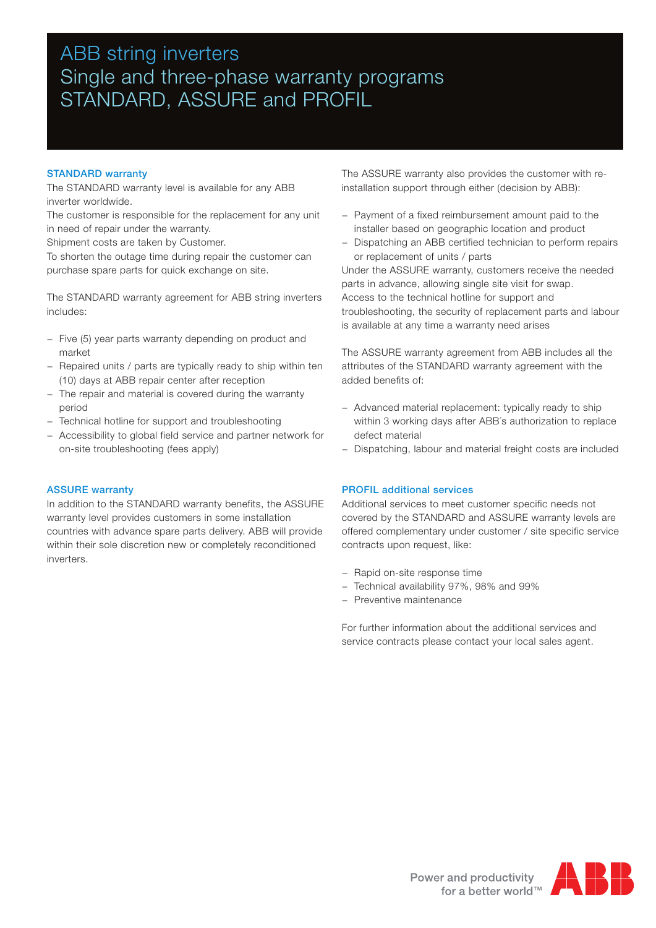# ABB string inverters Single and three-phase warranty programs STANDARD, ASSURE and PROFIL

# STANDARD warranty

The STANDARD warranty level is available for any ABB inverter worldwide.

The customer is responsible for the replacement for any unit in need of repair under the warranty.

Shipment costs are taken by Customer.

To shorten the outage time during repair the customer can purchase spare parts for quick exchange on site.

The STANDARD warranty agreement for ABB string inverters includes:

- − Five (5) year parts warranty depending on product and market
- − Repaired units / parts are typically ready to ship within ten (10) days at ABB repair center after reception
- − The repair and material is covered during the warranty period
- − Technical hotline for support and troubleshooting
- − Accessibility to global field service and partner network for on-site troubleshooting (fees apply)

ASSURE warranty

In addition to the STANDARD warranty benefits, the ASSURE warranty level provides customers in some installation countries with advance spare parts delivery. ABB will provide within their sole discretion new or completely reconditioned inverters.

The ASSURE warranty also provides the customer with reinstallation support through either (decision by ABB):

- − Payment of a fixed reimbursement amount paid to the installer based on geographic location and product
- − Dispatching an ABB certified technician to perform repairs or replacement of units / parts

Under the ASSURE warranty, customers receive the needed parts in advance, allowing single site visit for swap. Access to the technical hotline for support and troubleshooting, the security of replacement parts and labour is available at any time a warranty need arises

The ASSURE warranty agreement from ABB includes all the attributes of the STANDARD warranty agreement with the added benefits of:

- − Advanced material replacement: typically ready to ship within 3 working days after ABB´s authorization to replace defect material
- − Dispatching, labour and material freight costs are included

## PROFIL additional services

Additional services to meet customer specific needs not covered by the STANDARD and ASSURE warranty levels are offered complementary under customer / site specific service contracts upon request, like:

- − Rapid on-site response time
- − Technical availability 97%, 98% and 99%
- − Preventive maintenance

For further information about the additional services and service contracts please contact your local sales agent.

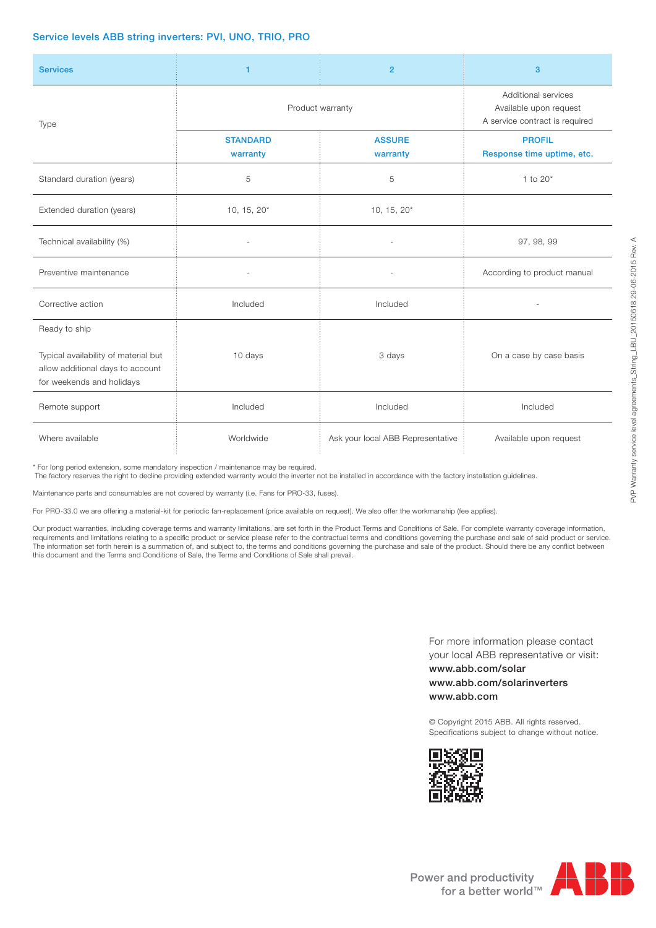# Service levels ABB string inverters: PVI, UNO, TRIO, PRO

| <b>Services</b>                                                                                                        | $\mathbf{1}$                | $\overline{2}$                                                                  | 3                                           |
|------------------------------------------------------------------------------------------------------------------------|-----------------------------|---------------------------------------------------------------------------------|---------------------------------------------|
| Type                                                                                                                   | Product warranty            | Additional services<br>Available upon request<br>A service contract is required |                                             |
|                                                                                                                        | <b>STANDARD</b><br>warranty | <b>ASSURE</b><br>warranty                                                       | <b>PROFIL</b><br>Response time uptime, etc. |
| Standard duration (years)                                                                                              | 5                           | 5                                                                               | 1 to $20*$                                  |
| Extended duration (years)                                                                                              | $10, 15, 20*$               | 10, 15, $20*$                                                                   |                                             |
| Technical availability (%)                                                                                             |                             |                                                                                 | 97, 98, 99                                  |
| Preventive maintenance                                                                                                 |                             |                                                                                 | According to product manual                 |
| Corrective action                                                                                                      | Included                    | Included                                                                        |                                             |
| Ready to ship<br>Typical availability of material but<br>allow additional days to account<br>for weekends and holidays | 10 days                     | 3 days                                                                          | On a case by case basis                     |
| Remote support                                                                                                         | Included                    | Included                                                                        | Included                                    |
| Where available                                                                                                        | Worldwide                   | Ask your local ABB Representative                                               | Available upon request                      |

\* For long period extension, some mandatory inspection / maintenance may be required.

The factory reserves the right to decline providing extended warranty would the inverter not be installed in accordance with the factory installation guidelines.

Maintenance parts and consumables are not covered by warranty (i.e. Fans for PRO-33, fuses).

For PRO-33.0 we are offering a material-kit for periodic fan-replacement (price available on request). We also offer the workmanship (fee applies).

Our product warranties, including coverage terms and warranty limitations, are set forth in the Product Terms and Conditions of Sale. For complete warranty coverage information, requirements and limitations relating to a specific product or service please refer to the contractual terms and conditions governing the purchase and sale of said product or service. The information set forth herein is a summation of, and subject to, the terms and conditions governing the purchase and sale of the product. Should there be any conflict between this document and the Terms and Conditions of Sale, the Terms and Conditions of Sale shall prevail.

> For more information please contact your local ABB representative or visit: www.abb.com/solar

www.abb.com/solarinverters www.abb.com

© Copyright 2015 ABB. All rights reserved. Specifications subject to change without notice.





PVP Warranty service level agreements\_String\_LBU\_20150618 29-06-2015 Rev. A

PVP Warranty service level agreements\_String\_LBU\_20150618 29-06-2015 Rev. A

Power and productivity  $\blacksquare$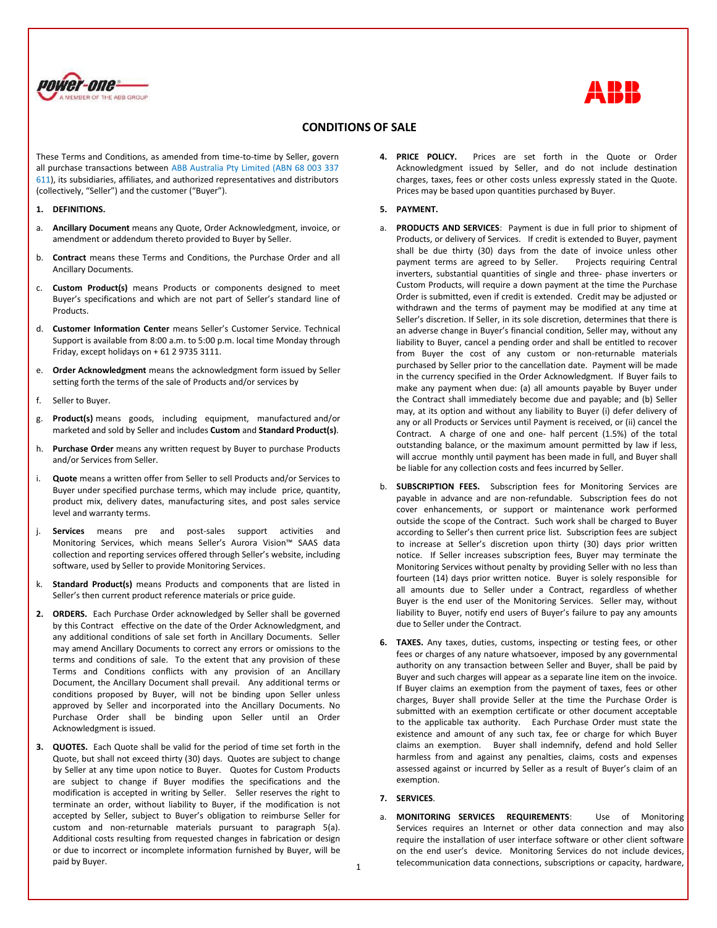



## **CONDITIONS OF SALE**

These Terms and Conditions, as amended from time-to-time by Seller, govern all purchase transactions between ABB Australia Pty Limited (ABN 68 003 337 611), its subsidiaries, affiliates, and authorized representatives and distributors (collectively, "Seller") and the customer ("Buyer").

#### **1. DEFINITIONS.**

- a. **Ancillary Document** means any Quote, Order Acknowledgment, invoice, or amendment or addendum thereto provided to Buyer by Seller.
- b. **Contract** means these Terms and Conditions, the Purchase Order and all Ancillary Documents.
- c. **Custom Product(s)** means Products or components designed to meet Buyer's specifications and which are not part of Seller's standard line of Products.
- d. **Customer Information Center** means Seller's Customer Service. Technical Support is available from 8:00 a.m. to 5:00 p.m. local time Monday through Friday, except holidays on + 61 2 9735 3111.
- e. **Order Acknowledgment** means the acknowledgment form issued by Seller setting forth the terms of the sale of Products and/or services by
- f. Seller to Buyer.
- g. **Product(s)** means goods, including equipment, manufactured and/or marketed and sold by Seller and includes **Custom** and **Standard Product(s)**.
- h. **Purchase Order** means any written request by Buyer to purchase Products and/or Services from Seller.
- i. **Quote** means a written offer from Seller to sell Products and/or Services to Buyer under specified purchase terms, which may include price, quantity, product mix, delivery dates, manufacturing sites, and post sales service level and warranty terms.
- j. **Services** means pre and post-sales support activities and Monitoring Services, which means Seller's Aurora Vision™ SAAS data collection and reporting services offered through Seller's website, including software, used by Seller to provide Monitoring Services.
- k. **Standard Product(s)** means Products and components that are listed in Seller's then current product reference materials or price guide.
- **2. ORDERS.** Each Purchase Order acknowledged by Seller shall be governed by this Contract effective on the date of the Order Acknowledgment, and any additional conditions of sale set forth in Ancillary Documents. Seller may amend Ancillary Documents to correct any errors or omissions to the terms and conditions of sale. To the extent that any provision of these Terms and Conditions conflicts with any provision of an Ancillary Document, the Ancillary Document shall prevail. Any additional terms or conditions proposed by Buyer, will not be binding upon Seller unless approved by Seller and incorporated into the Ancillary Documents. No Purchase Order shall be binding upon Seller until an Order Acknowledgment is issued.
- **3. QUOTES.** Each Quote shall be valid for the period of time set forth in the Quote, but shall not exceed thirty (30) days. Quotes are subject to change by Seller at any time upon notice to Buyer. Quotes for Custom Products are subject to change if Buyer modifies the specifications and the modification is accepted in writing by Seller. Seller reserves the right to terminate an order, without liability to Buyer, if the modification is not accepted by Seller, subject to Buyer's obligation to reimburse Seller for custom and non-returnable materials pursuant to paragraph 5(a). Additional costs resulting from requested changes in fabrication or design or due to incorrect or incomplete information furnished by Buyer, will be paid by Buyer.

**4. PRICE POLICY.** Prices are set forth in the Quote or Order Acknowledgment issued by Seller, and do not include destination charges, taxes, fees or other costs unless expressly stated in the Quote. Prices may be based upon quantities purchased by Buyer.

### **5. PAYMENT.**

- a. **PRODUCTS AND SERVICES**: Payment is due in full prior to shipment of Products, or delivery of Services. If credit is extended to Buyer, payment shall be due thirty (30) days from the date of invoice unless other payment terms are agreed to by Seller. Projects requiring Central inverters, substantial quantities of single and three- phase inverters or Custom Products, will require a down payment at the time the Purchase Order is submitted, even if credit is extended. Credit may be adjusted or withdrawn and the terms of payment may be modified at any time at Seller's discretion. If Seller, in its sole discretion, determines that there is an adverse change in Buyer's financial condition, Seller may, without any liability to Buyer, cancel a pending order and shall be entitled to recover from Buyer the cost of any custom or non-returnable materials purchased by Seller prior to the cancellation date. Payment will be made in the currency specified in the Order Acknowledgment. If Buyer fails to make any payment when due: (a) all amounts payable by Buyer under the Contract shall immediately become due and payable; and (b) Seller may, at its option and without any liability to Buyer (i) defer delivery of any or all Products or Services until Payment is received, or (ii) cancel the Contract. A charge of one and one- half percent (1.5%) of the total outstanding balance, or the maximum amount permitted by law if less, will accrue monthly until payment has been made in full, and Buyer shall be liable for any collection costs and fees incurred by Seller.
- b. **SUBSCRIPTION FEES.** Subscription fees for Monitoring Services are payable in advance and are non-refundable. Subscription fees do not cover enhancements, or support or maintenance work performed outside the scope of the Contract. Such work shall be charged to Buyer according to Seller's then current price list. Subscription fees are subject to increase at Seller's discretion upon thirty (30) days prior written notice. If Seller increases subscription fees, Buyer may terminate the Monitoring Services without penalty by providing Seller with no less than fourteen (14) days prior written notice. Buyer is solely responsible for all amounts due to Seller under a Contract, regardless of whether Buyer is the end user of the Monitoring Services. Seller may, without liability to Buyer, notify end users of Buyer's failure to pay any amounts due to Seller under the Contract.
- **6. TAXES.** Any taxes, duties, customs, inspecting or testing fees, or other fees or charges of any nature whatsoever, imposed by any governmental authority on any transaction between Seller and Buyer, shall be paid by Buyer and such charges will appear as a separate line item on the invoice. If Buyer claims an exemption from the payment of taxes, fees or other charges, Buyer shall provide Seller at the time the Purchase Order is submitted with an exemption certificate or other document acceptable to the applicable tax authority. Each Purchase Order must state the existence and amount of any such tax, fee or charge for which Buyer claims an exemption. Buyer shall indemnify, defend and hold Seller harmless from and against any penalties, claims, costs and expenses assessed against or incurred by Seller as a result of Buyer's claim of an exemption.

## **7. SERVICES**.

a. **MONITORING SERVICES REQUIREMENTS**: Use of Monitoring Services requires an Internet or other data connection and may also require the installation of user interface software or other client software on the end user's device. Monitoring Services do not include devices, telecommunication data connections, subscriptions or capacity, hardware,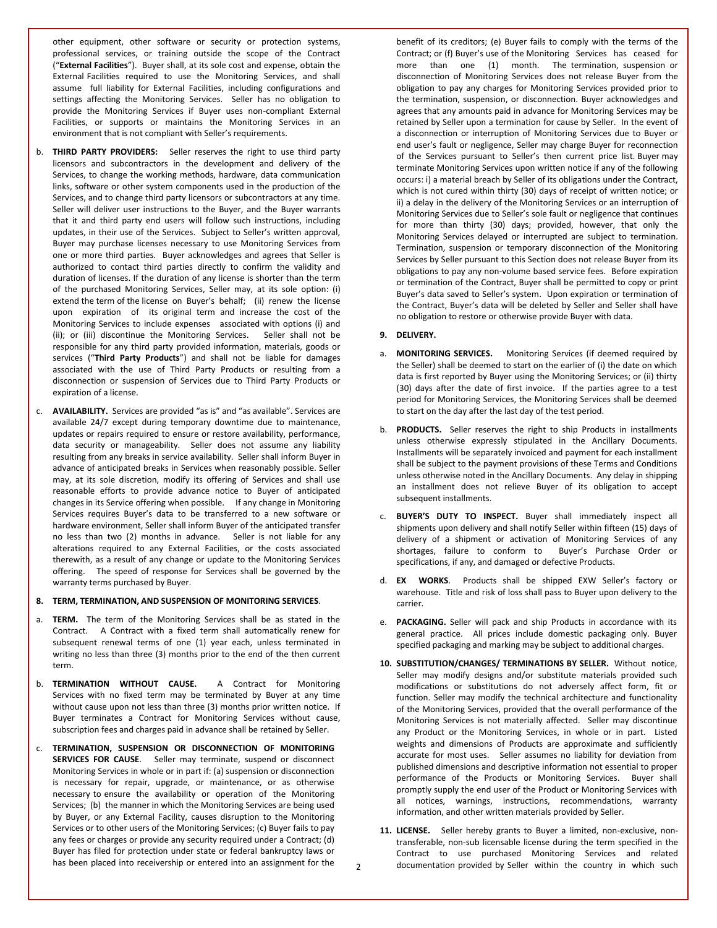other equipment, other software or security or protection systems, professional services, or training outside the scope of the Contract ("**External Facilities**"). Buyer shall, at its sole cost and expense, obtain the External Facilities required to use the Monitoring Services, and shall assume full liability for External Facilities, including configurations and settings affecting the Monitoring Services. Seller has no obligation to provide the Monitoring Services if Buyer uses non-compliant External Facilities, or supports or maintains the Monitoring Services in an environment that is not compliant with Seller's requirements.

- b. **THIRD PARTY PROVIDERS:** Seller reserves the right to use third party licensors and subcontractors in the development and delivery of the Services, to change the working methods, hardware, data communication links, software or other system components used in the production of the Services, and to change third party licensors or subcontractors at any time. Seller will deliver user instructions to the Buyer, and the Buyer warrants that it and third party end users will follow such instructions, including updates, in their use of the Services. Subject to Seller's written approval, Buyer may purchase licenses necessary to use Monitoring Services from one or more third parties. Buyer acknowledges and agrees that Seller is authorized to contact third parties directly to confirm the validity and duration of licenses. If the duration of any license is shorter than the term of the purchased Monitoring Services, Seller may, at its sole option: (i) extend the term of the license on Buyer's behalf; (ii) renew the license upon expiration of its original term and increase the cost of the Monitoring Services to include expenses associated with options (i) and (ii); or (iii) discontinue the Monitoring Services. Seller shall not be responsible for any third party provided information, materials, goods or services ("**Third Party Products**") and shall not be liable for damages associated with the use of Third Party Products or resulting from a disconnection or suspension of Services due to Third Party Products or expiration of a license.
- c. **AVAILABILITY.** Services are provided "as is" and "as available". Services are available 24/7 except during temporary downtime due to maintenance, updates or repairs required to ensure or restore availability, performance, data security or manageability. Seller does not assume any liability resulting from any breaks in service availability. Seller shall inform Buyer in advance of anticipated breaks in Services when reasonably possible. Seller may, at its sole discretion, modify its offering of Services and shall use reasonable efforts to provide advance notice to Buyer of anticipated changes in its Service offering when possible. If any change in Monitoring Services requires Buyer's data to be transferred to a new software or hardware environment, Seller shall inform Buyer of the anticipated transfer no less than two (2) months in advance. Seller is not liable for any alterations required to any External Facilities, or the costs associated therewith, as a result of any change or update to the Monitoring Services offering. The speed of response for Services shall be governed by the warranty terms purchased by Buyer.

#### **8. TERM, TERMINATION, AND SUSPENSION OF MONITORING SERVICES**.

- a. **TERM.** The term of the Monitoring Services shall be as stated in the Contract. A Contract with a fixed term shall automatically renew for subsequent renewal terms of one (1) year each, unless terminated in writing no less than three (3) months prior to the end of the then current term.
- b. **TERMINATION WITHOUT CAUSE.** A Contract for Monitoring Services with no fixed term may be terminated by Buyer at any time without cause upon not less than three (3) months prior written notice. If Buyer terminates a Contract for Monitoring Services without cause, subscription fees and charges paid in advance shall be retained by Seller.
- c. **TERMINATION, SUSPENSION OR DISCONNECTION OF MONITORING SERVICES FOR CAUSE**. Seller may terminate, suspend or disconnect Monitoring Services in whole or in part if: (a) suspension or disconnection is necessary for repair, upgrade, or maintenance, or as otherwise necessary to ensure the availability or operation of the Monitoring Services; (b) the manner in which the Monitoring Services are being used by Buyer, or any External Facility, causes disruption to the Monitoring Services or to other users of the Monitoring Services; (c) Buyer fails to pay any fees or charges or provide any security required under a Contract; (d) Buyer has filed for protection under state or federal bankruptcy laws or has been placed into receivership or entered into an assignment for the

benefit of its creditors; (e) Buyer fails to comply with the terms of the Contract; or (f) Buyer's use of the Monitoring Services has ceased for more than one (1) month. The termination, suspension or disconnection of Monitoring Services does not release Buyer from the obligation to pay any charges for Monitoring Services provided prior to the termination, suspension, or disconnection. Buyer acknowledges and agrees that any amounts paid in advance for Monitoring Services may be retained by Seller upon a termination for cause by Seller. In the event of a disconnection or interruption of Monitoring Services due to Buyer or end user's fault or negligence, Seller may charge Buyer for reconnection of the Services pursuant to Seller's then current price list. Buyer may terminate Monitoring Services upon written notice if any of the following occurs: i) a material breach by Seller of its obligations under the Contract, which is not cured within thirty (30) days of receipt of written notice; or ii) a delay in the delivery of the Monitoring Services or an interruption of Monitoring Services due to Seller's sole fault or negligence that continues for more than thirty (30) days; provided, however, that only the Monitoring Services delayed or interrupted are subject to termination. Termination, suspension or temporary disconnection of the Monitoring Services by Seller pursuant to this Section does not release Buyer from its obligations to pay any non-volume based service fees. Before expiration or termination of the Contract, Buyer shall be permitted to copy or print Buyer's data saved to Seller's system. Upon expiration or termination of the Contract, Buyer's data will be deleted by Seller and Seller shall have no obligation to restore or otherwise provide Buyer with data.

### **9. DELIVERY.**

- a. **MONITORING SERVICES.** Monitoring Services (if deemed required by the Seller) shall be deemed to start on the earlier of (i) the date on which data is first reported by Buyer using the Monitoring Services; or (ii) thirty (30) days after the date of first invoice. If the parties agree to a test period for Monitoring Services, the Monitoring Services shall be deemed to start on the day after the last day of the test period.
- b. **PRODUCTS.** Seller reserves the right to ship Products in installments unless otherwise expressly stipulated in the Ancillary Documents. Installments will be separately invoiced and payment for each installment shall be subject to the payment provisions of these Terms and Conditions unless otherwise noted in the Ancillary Documents. Any delay in shipping an installment does not relieve Buyer of its obligation to accept subsequent installments.
- c. **BUYER'S DUTY TO INSPECT.** Buyer shall immediately inspect all shipments upon delivery and shall notify Seller within fifteen (15) days of delivery of a shipment or activation of Monitoring Services of any shortages, failure to conform to Buyer's Purchase Order or specifications, if any, and damaged or defective Products.
- d. **EX WORKS**. Products shall be shipped EXW Seller's factory or warehouse. Title and risk of loss shall pass to Buyer upon delivery to the carrier.
- e. **PACKAGING.** Seller will pack and ship Products in accordance with its general practice. All prices include domestic packaging only. Buyer specified packaging and marking may be subject to additional charges.
- **10. SUBSTITUTION/CHANGES/ TERMINATIONS BY SELLER.** Without notice, Seller may modify designs and/or substitute materials provided such modifications or substitutions do not adversely affect form, fit or function. Seller may modify the technical architecture and functionality of the Monitoring Services, provided that the overall performance of the Monitoring Services is not materially affected. Seller may discontinue any Product or the Monitoring Services, in whole or in part. Listed weights and dimensions of Products are approximate and sufficiently accurate for most uses. Seller assumes no liability for deviation from published dimensions and descriptive information not essential to proper performance of the Products or Monitoring Services. Buyer shall promptly supply the end user of the Product or Monitoring Services with all notices, warnings, instructions, recommendations, warranty information, and other written materials provided by Seller.
- **11. LICENSE.** Seller hereby grants to Buyer a limited, non-exclusive, nontransferable, non-sub licensable license during the term specified in the Contract to use purchased Monitoring Services and related documentation provided by Seller within the country in which such

2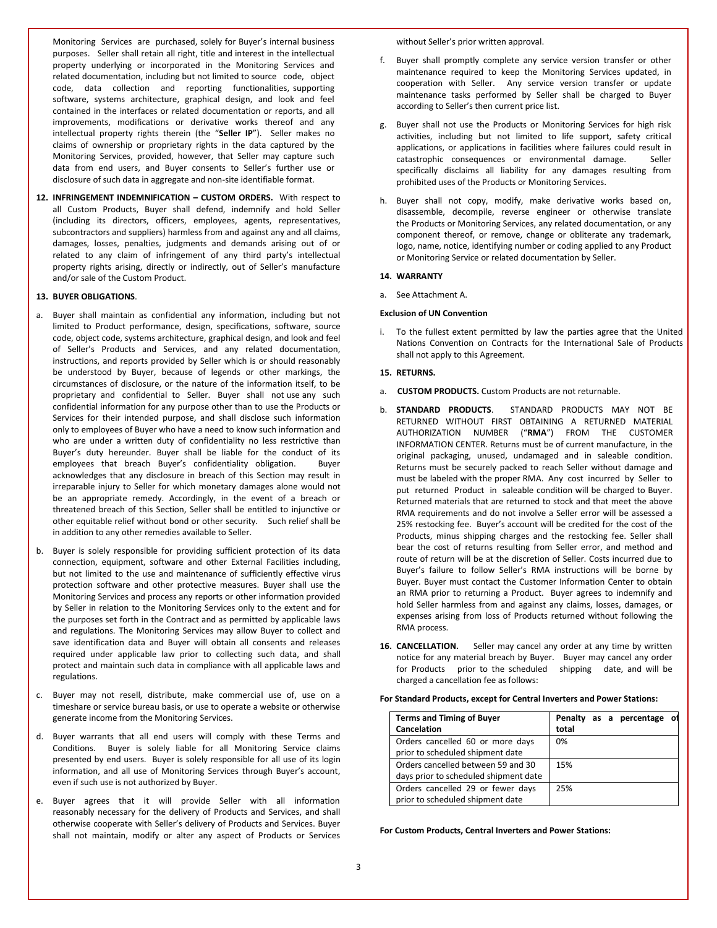Monitoring Services are purchased, solely for Buyer's internal business purposes. Seller shall retain all right, title and interest in the intellectual property underlying or incorporated in the Monitoring Services and related documentation, including but not limited to source code, object code, data collection and reporting functionalities, supporting software, systems architecture, graphical design, and look and feel contained in the interfaces or related documentation or reports, and all improvements, modifications or derivative works thereof and any intellectual property rights therein (the "**Seller IP**"). Seller makes no claims of ownership or proprietary rights in the data captured by the Monitoring Services, provided, however, that Seller may capture such data from end users, and Buyer consents to Seller's further use or disclosure of such data in aggregate and non-site identifiable format.

**12. INFRINGEMENT INDEMNIFICATION – CUSTOM ORDERS.** With respect to all Custom Products, Buyer shall defend, indemnify and hold Seller (including its directors, officers, employees, agents, representatives, subcontractors and suppliers) harmless from and against any and all claims, damages, losses, penalties, judgments and demands arising out of or related to any claim of infringement of any third party's intellectual property rights arising, directly or indirectly, out of Seller's manufacture and/or sale of the Custom Product.

#### **13. BUYER OBLIGATIONS**.

- a. Buyer shall maintain as confidential any information, including but not limited to Product performance, design, specifications, software, source code, object code, systems architecture, graphical design, and look and feel of Seller's Products and Services, and any related documentation, instructions, and reports provided by Seller which is or should reasonably be understood by Buyer, because of legends or other markings, the circumstances of disclosure, or the nature of the information itself, to be proprietary and confidential to Seller. Buyer shall not use any such confidential information for any purpose other than to use the Products or Services for their intended purpose, and shall disclose such information only to employees of Buyer who have a need to know such information and who are under a written duty of confidentiality no less restrictive than Buyer's duty hereunder. Buyer shall be liable for the conduct of its employees that breach Buyer's confidentiality obligation. Buyer acknowledges that any disclosure in breach of this Section may result in irreparable injury to Seller for which monetary damages alone would not be an appropriate remedy. Accordingly, in the event of a breach or threatened breach of this Section, Seller shall be entitled to injunctive or other equitable relief without bond or other security. Such relief shall be in addition to any other remedies available to Seller.
- b. Buyer is solely responsible for providing sufficient protection of its data connection, equipment, software and other External Facilities including, but not limited to the use and maintenance of sufficiently effective virus protection software and other protective measures. Buyer shall use the Monitoring Services and process any reports or other information provided by Seller in relation to the Monitoring Services only to the extent and for the purposes set forth in the Contract and as permitted by applicable laws and regulations. The Monitoring Services may allow Buyer to collect and save identification data and Buyer will obtain all consents and releases required under applicable law prior to collecting such data, and shall protect and maintain such data in compliance with all applicable laws and regulations.
- c. Buyer may not resell, distribute, make commercial use of, use on a timeshare or service bureau basis, or use to operate a website or otherwise generate income from the Monitoring Services.
- d. Buyer warrants that all end users will comply with these Terms and Conditions. Buyer is solely liable for all Monitoring Service claims presented by end users. Buyer is solely responsible for all use of its login information, and all use of Monitoring Services through Buyer's account, even if such use is not authorized by Buyer.
- e. Buyer agrees that it will provide Seller with all information reasonably necessary for the delivery of Products and Services, and shall otherwise cooperate with Seller's delivery of Products and Services. Buyer shall not maintain, modify or alter any aspect of Products or Services

without Seller's prior written approval.

- f. Buyer shall promptly complete any service version transfer or other maintenance required to keep the Monitoring Services updated, in cooperation with Seller. Any service version transfer or update maintenance tasks performed by Seller shall be charged to Buyer according to Seller's then current price list.
- g. Buyer shall not use the Products or Monitoring Services for high risk activities, including but not limited to life support, safety critical applications, or applications in facilities where failures could result in catastrophic consequences or environmental damage. Seller specifically disclaims all liability for any damages resulting from prohibited uses of the Products or Monitoring Services.
- h. Buyer shall not copy, modify, make derivative works based on, disassemble, decompile, reverse engineer or otherwise translate the Products or Monitoring Services, any related documentation, or any component thereof, or remove, change or obliterate any trademark, logo, name, notice, identifying number or coding applied to any Product or Monitoring Service or related documentation by Seller.

## **14. WARRANTY**

a. See Attachment A.

### **Exclusion of UN Convention**

i. To the fullest extent permitted by law the parties agree that the United Nations Convention on Contracts for the International Sale of Products shall not apply to this Agreement.

### **15. RETURNS.**

- a. **CUSTOM PRODUCTS.** Custom Products are not returnable.
- b. **STANDARD PRODUCTS**. STANDARD PRODUCTS MAY NOT BE RETURNED WITHOUT FIRST OBTAINING A RETURNED MATERIAL AUTHORIZATION NUMBER ("**RMA**") FROM THE CUSTOMER INFORMATION CENTER. Returns must be of current manufacture, in the original packaging, unused, undamaged and in saleable condition. Returns must be securely packed to reach Seller without damage and must be labeled with the proper RMA. Any cost incurred by Seller to put returned Product in saleable condition will be charged to Buyer. Returned materials that are returned to stock and that meet the above RMA requirements and do not involve a Seller error will be assessed a 25% restocking fee. Buyer's account will be credited for the cost of the Products, minus shipping charges and the restocking fee. Seller shall bear the cost of returns resulting from Seller error, and method and route of return will be at the discretion of Seller. Costs incurred due to Buyer's failure to follow Seller's RMA instructions will be borne by Buyer. Buyer must contact the Customer Information Center to obtain an RMA prior to returning a Product. Buyer agrees to indemnify and hold Seller harmless from and against any claims, losses, damages, or expenses arising from loss of Products returned without following the RMA process.
- **16. CANCELLATION.** Seller may cancel any order at any time by written notice for any material breach by Buyer. Buyer may cancel any order for Products prior to the scheduled shipping date, and will be charged a cancellation fee as follows:

|  |  |  |  |  |  |  | For Standard Products, except for Central Inverters and Power Stations: |
|--|--|--|--|--|--|--|-------------------------------------------------------------------------|
|--|--|--|--|--|--|--|-------------------------------------------------------------------------|

| <b>Terms and Timing of Buyer</b>      | Penalty as a percentage<br>οl |
|---------------------------------------|-------------------------------|
| Cancelation                           | total                         |
| Orders cancelled 60 or more days      | 0%                            |
| prior to scheduled shipment date      |                               |
| Orders cancelled between 59 and 30    | 15%                           |
| days prior to scheduled shipment date |                               |
| Orders cancelled 29 or fewer days     | 25%                           |
| prior to scheduled shipment date      |                               |

**For Custom Products, Central Inverters and Power Stations:**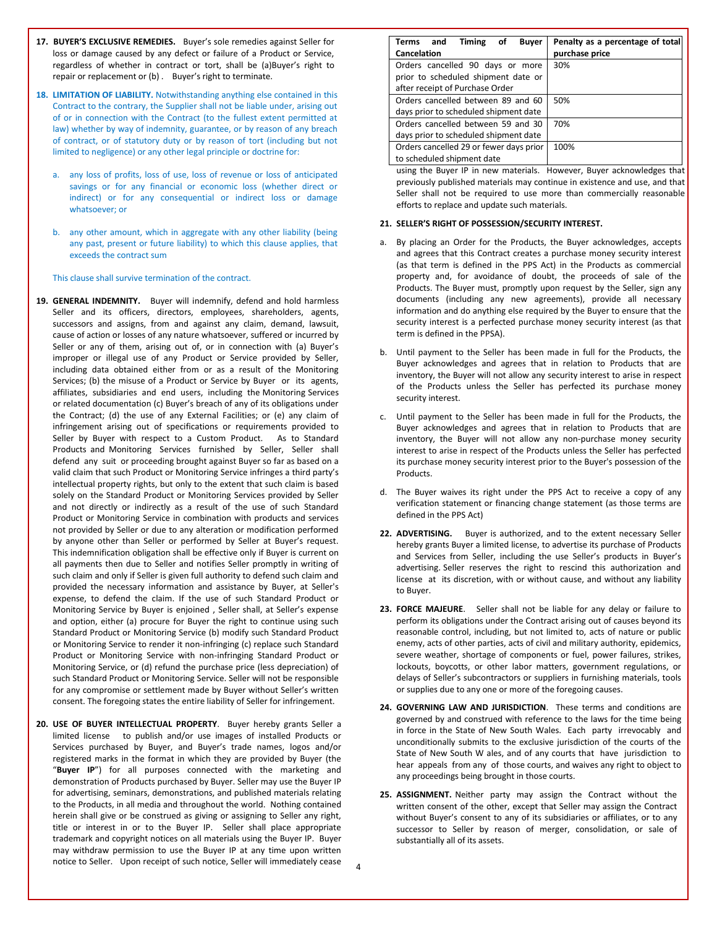- **17. BUYER'S EXCLUSIVE REMEDIES.** Buyer's sole remedies against Seller for loss or damage caused by any defect or failure of a Product or Service, regardless of whether in contract or tort, shall be (a)Buyer's right to repair or replacement or (b) . Buyer's right to terminate.
- **18. LIMITATION OF LIABILITY.** Notwithstanding anything else contained in this Contract to the contrary, the Supplier shall not be liable under, arising out of or in connection with the Contract (to the fullest extent permitted at law) whether by way of indemnity, guarantee, or by reason of any breach of contract, or of statutory duty or by reason of tort (including but not limited to negligence) or any other legal principle or doctrine for:
	- a. any loss of profits, loss of use, loss of revenue or loss of anticipated savings or for any financial or economic loss (whether direct or indirect) or for any consequential or indirect loss or damage whatsoever; or
	- b. any other amount, which in aggregate with any other liability (being any past, present or future liability) to which this clause applies, that exceeds the contract sum

This clause shall survive termination of the contract.

- **19. GENERAL INDEMNITY.** Buyer will indemnify, defend and hold harmless Seller and its officers, directors, employees, shareholders, agents, successors and assigns, from and against any claim, demand, lawsuit, cause of action or losses of any nature whatsoever, suffered or incurred by Seller or any of them, arising out of, or in connection with (a) Buyer's improper or illegal use of any Product or Service provided by Seller, including data obtained either from or as a result of the Monitoring Services; (b) the misuse of a Product or Service by Buyer or its agents, affiliates, subsidiaries and end users, including the Monitoring Services or related documentation (c) Buyer's breach of any of its obligations under the Contract; (d) the use of any External Facilities; or (e) any claim of infringement arising out of specifications or requirements provided to Seller by Buyer with respect to a Custom Product. As to Standard Products and Monitoring Services furnished by Seller, Seller shall defend any suit or proceeding brought against Buyer so far as based on a valid claim that such Product or Monitoring Service infringes a third party's intellectual property rights, but only to the extent that such claim is based solely on the Standard Product or Monitoring Services provided by Seller and not directly or indirectly as a result of the use of such Standard Product or Monitoring Service in combination with products and services not provided by Seller or due to any alteration or modification performed by anyone other than Seller or performed by Seller at Buyer's request. This indemnification obligation shall be effective only if Buyer is current on all payments then due to Seller and notifies Seller promptly in writing of such claim and only if Seller is given full authority to defend such claim and provided the necessary information and assistance by Buyer, at Seller's expense, to defend the claim. If the use of such Standard Product or Monitoring Service by Buyer is enjoined , Seller shall, at Seller's expense and option, either (a) procure for Buyer the right to continue using such Standard Product or Monitoring Service (b) modify such Standard Product or Monitoring Service to render it non-infringing (c) replace such Standard Product or Monitoring Service with non-infringing Standard Product or Monitoring Service, or (d) refund the purchase price (less depreciation) of such Standard Product or Monitoring Service. Seller will not be responsible for any compromise or settlement made by Buyer without Seller's written consent. The foregoing states the entire liability of Seller for infringement.
- **20. USE OF BUYER INTELLECTUAL PROPERTY**. Buyer hereby grants Seller a limited license to publish and/or use images of installed Products or Services purchased by Buyer, and Buyer's trade names, logos and/or registered marks in the format in which they are provided by Buyer (the "**Buyer IP**") for all purposes connected with the marketing and demonstration of Products purchased by Buyer. Seller may use the Buyer IP for advertising, seminars, demonstrations, and published materials relating to the Products, in all media and throughout the world. Nothing contained herein shall give or be construed as giving or assigning to Seller any right, title or interest in or to the Buyer IP. Seller shall place appropriate trademark and copyright notices on all materials using the Buyer IP. Buyer may withdraw permission to use the Buyer IP at any time upon written notice to Seller. Upon receipt of such notice, Seller will immediately cease

| Terms and<br>Timing of<br><b>Buyer</b><br>Cancelation                                                      | Penalty as a percentage of total<br>purchase price |
|------------------------------------------------------------------------------------------------------------|----------------------------------------------------|
| Orders cancelled 90 days or more<br>prior to scheduled shipment date or<br>after receipt of Purchase Order | 30%                                                |
| Orders cancelled between 89 and 60<br>days prior to scheduled shipment date                                | 50%                                                |
| Orders cancelled between 59 and 30<br>days prior to scheduled shipment date                                | 70%                                                |
| Orders cancelled 29 or fewer days prior<br>to scheduled shipment date                                      | 100%                                               |

using the Buyer IP in new materials. However, Buyer acknowledges that previously published materials may continue in existence and use, and that Seller shall not be required to use more than commercially reasonable efforts to replace and update such materials.

#### **21. SELLER'S RIGHT OF POSSESSION/SECURITY INTEREST.**

- a. By placing an Order for the Products, the Buyer acknowledges, accepts and agrees that this Contract creates a purchase money security interest (as that term is defined in the PPS Act) in the Products as commercial property and, for avoidance of doubt, the proceeds of sale of the Products. The Buyer must, promptly upon request by the Seller, sign any documents (including any new agreements), provide all necessary information and do anything else required by the Buyer to ensure that the security interest is a perfected purchase money security interest (as that term is defined in the PPSA).
- b. Until payment to the Seller has been made in full for the Products, the Buyer acknowledges and agrees that in relation to Products that are inventory, the Buyer will not allow any security interest to arise in respect of the Products unless the Seller has perfected its purchase money security interest.
- c. Until payment to the Seller has been made in full for the Products, the Buyer acknowledges and agrees that in relation to Products that are inventory, the Buyer will not allow any non-purchase money security interest to arise in respect of the Products unless the Seller has perfected its purchase money security interest prior to the Buyer's possession of the Products.
- d. The Buyer waives its right under the PPS Act to receive a copy of any verification statement or financing change statement (as those terms are defined in the PPS Act)
- **22. ADVERTISING.** Buyer is authorized, and to the extent necessary Seller hereby grants Buyer a limited license, to advertise its purchase of Products and Services from Seller, including the use Seller's products in Buyer's advertising. Seller reserves the right to rescind this authorization and license at its discretion, with or without cause, and without any liability to Buyer.
- **23. FORCE MAJEURE**. Seller shall not be liable for any delay or failure to perform its obligations under the Contract arising out of causes beyond its reasonable control, including, but not limited to, acts of nature or public enemy, acts of other parties, acts of civil and military authority, epidemics, severe weather, shortage of components or fuel, power failures, strikes, lockouts, boycotts, or other labor matters, government regulations, or delays of Seller's subcontractors or suppliers in furnishing materials, tools or supplies due to any one or more of the foregoing causes.
- **24. GOVERNING LAW AND JURISDICTION**. These terms and conditions are governed by and construed with reference to the laws for the time being in force in the State of New South Wales. Each party irrevocably and unconditionally submits to the exclusive jurisdiction of the courts of the State of New South W ales, and of any courts that have jurisdiction to hear appeals from any of those courts, and waives any right to object to any proceedings being brought in those courts.
- **25. ASSIGNMENT.** Neither party may assign the Contract without the written consent of the other, except that Seller may assign the Contract without Buyer's consent to any of its subsidiaries or affiliates, or to any successor to Seller by reason of merger, consolidation, or sale of substantially all of its assets.